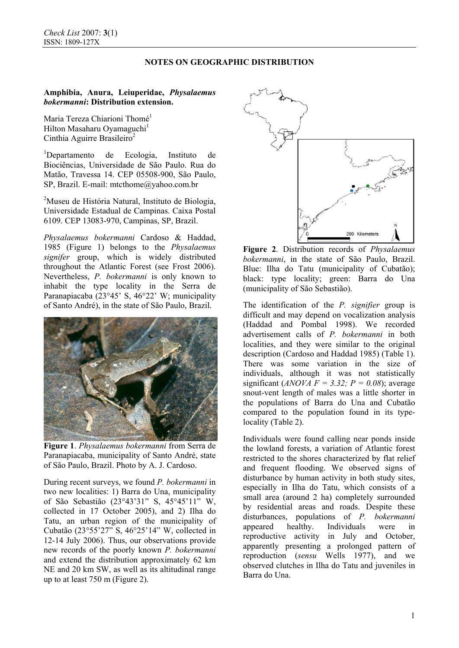# **NOTES ON GEOGRAPHIC DISTRIBUTION**

# **Amphibia, Anura, Leiuperidae,** *Physalaemus bokermanni***: Distribution extension.**

Maria Tereza Chiarioni Thomé<sup>1</sup> Hilton Masaharu Oyamaguchi<sup>1</sup> Cinthia Aguirre Brasileiro<sup>2</sup>

1 Departamento de Ecologia, Instituto de Biociências, Universidade de São Paulo. Rua do Matão, Travessa 14. CEP 05508-900, São Paulo, SP, Brazil. E-mail: mtcthome@yahoo.com.br

<sup>2</sup>Museu de História Natural, Instituto de Biologia, Universidade Estadual de Campinas. Caixa Postal 6109. CEP 13083-970, Campinas, SP, Brazil.

*Physalaemus bokermanni* Cardoso & Haddad, 1985 (Figure 1) belongs to the *Physalaemus signifer* group, which is widely distributed throughout the Atlantic Forest (see Frost 2006). Nevertheless, *P. bokermanni* is only known to inhabit the type locality in the Serra de Paranapiacaba (23°45' S, 46°22' W; municipality of Santo André), in the state of São Paulo, Brazil.



**Figure 1**. *Physalaemus bokermanni* from Serra de Paranapiacaba, municipality of Santo André, state of São Paulo, Brazil. Photo by A. J. Cardoso.

During recent surveys, we found *P. bokermanni* in two new localities: 1) Barra do Una, municipality of São Sebastião (23°43'31" S, 45°45'11" W, collected in 17 October 2005), and 2) Ilha do Tatu, an urban region of the municipality of Cubatão (23°55'27" S, 46°25'14" W, collected in 12-14 July 2006). Thus, our observations provide new records of the poorly known *P. bokermanni* and extend the distribution approximately 62 km NE and 20 km SW, as well as its altitudinal range up to at least 750 m (Figure 2).



**Figure 2**. Distribution records of *Physalaemus bokermanni*, in the state of São Paulo, Brazil. Blue: Ilha do Tatu (municipality of Cubatão); black: type locality; green: Barra do Una (municipality of São Sebastião).

The identification of the *P. signifier* group is difficult and may depend on vocalization analysis (Haddad and Pombal 1998). We recorded advertisement calls of *P. bokermanni* in both localities, and they were similar to the original description (Cardoso and Haddad 1985) (Table 1). There was some variation in the size of individuals, although it was not statistically significant (*ANOVA F = 3.32; P = 0.08*); average snout-vent length of males was a little shorter in the populations of Barra do Una and Cubatão compared to the population found in its typelocality (Table 2).

Individuals were found calling near ponds inside the lowland forests, a variation of Atlantic forest restricted to the shores characterized by flat relief and frequent flooding. We observed signs of disturbance by human activity in both study sites, especially in Ilha do Tatu, which consists of a small area (around 2 ha) completely surrounded by residential areas and roads. Despite these disturbances, populations of *P. bokermanni* appeared healthy. Individuals were in reproductive activity in July and October, apparently presenting a prolonged pattern of reproduction (*sensu* Wells 1977), and we observed clutches in Ilha do Tatu and juveniles in Barra do Una.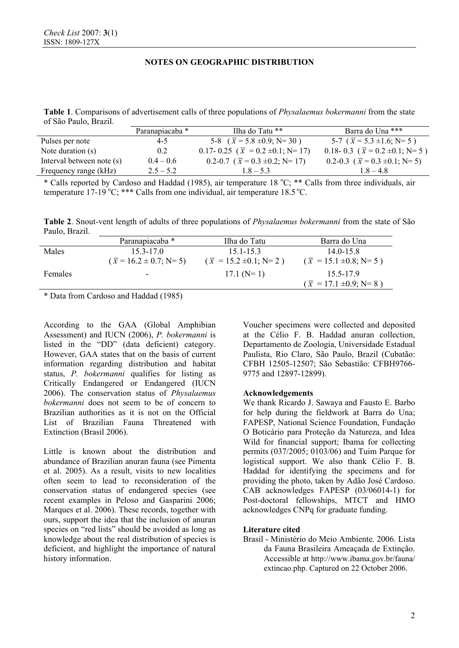# **NOTES ON GEOGRAPHIC DISTRIBUTION**

**Table 1**. Comparisons of advertisement calls of three populations of *Physalaemus bokermanni* from the state of São Paulo, Brazil.

|                           | Paranapiacaba * | Ilha do Tatu **                           | Barra do Una ***                       |
|---------------------------|-----------------|-------------------------------------------|----------------------------------------|
| Pulses per note           | $4 - 5$         | 5-8 $(\bar{x} = 5.8 \pm 0.9; N = 30)$     | 5-7 $(\bar{x} = 5.3 \pm 1.6; N=5)$     |
| Note duration $(s)$       | 0.2             | 0.17- 0.25 ( $\bar{x}$ = 0.2 ±0.1; N= 17) | 0.18-0.3 ( $\bar{x}$ = 0.2 ±0.1; N= 5) |
| Interval between note (s) | $0.4 - 0.6$     | 0.2-0.7 ( $\bar{x}$ = 0.3 ±0.2; N= 17)    | 0.2-0.3 ( $\bar{x}$ = 0.3 ±0.1; N= 5)  |
| Frequency range (kHz)     | $2.5 - 5.2$     | $1.8 - 5.3$                               | $1.8 - 4.8$                            |
|                           |                 |                                           |                                        |

\* Calls reported by Cardoso and Haddad (1985), air temperature 18 °C; \*\* Calls from three individuals, air temperature 17-19 °C; \*\*\* Calls from one individual, air temperature 18.5 °C.

**Table 2**. Snout-vent length of adults of three populations of *Physalaemus bokermanni* from the state of São Paulo, Brazil.

|                | Paranapiacaba *                 | Ilha do Tatu                    | Barra do Una                    |
|----------------|---------------------------------|---------------------------------|---------------------------------|
| Males          | $153 - 170$                     | $151 - 153$                     | $140-158$                       |
|                | $(\bar{x} = 16.2 \pm 0.7; N=5)$ | $(\bar{x} = 15.2 \pm 0.1; N=2)$ | $(\bar{x} = 15.1 \pm 0.8; N=5)$ |
| <b>Females</b> | $\overline{\phantom{a}}$        | $17.1(N=1)$                     | 15 5-17 9                       |
|                |                                 |                                 | $(\bar{x} = 17.1 \pm 0.9; N=8)$ |

\* Data from Cardoso and Haddad (1985)

According to the GAA (Global Amphibian Assessment) and IUCN (2006), *P. bokermanni* is listed in the "DD" (data deficient) category. However, GAA states that on the basis of current information regarding distribution and habitat status, *P. bokermanni* qualifies for listing as Critically Endangered or Endangered (IUCN 2006). The conservation status of *Physalaemus bokermanni* does not seem to be of concern to Brazilian authorities as it is not on the Official List of Brazilian Fauna Threatened with Extinction (Brasil 2006).

Little is known about the distribution and abundance of Brazilian anuran fauna (see Pimenta et al. 2005). As a result, visits to new localities often seem to lead to reconsideration of the conservation status of endangered species (see recent examples in Peloso and Gasparini 2006; Marques et al. 2006). These records, together with ours, support the idea that the inclusion of anuran species on "red lists" should be avoided as long as knowledge about the real distribution of species is deficient, and highlight the importance of natural history information.

Voucher specimens were collected and deposited at the Célio F. B. Haddad anuran collection, Departamento de Zoologia, Universidade Estadual Paulista, Rio Claro, São Paulo, Brazil (Cubatão: CFBH 12505-12507; São Sebastião: CFBH9766- 9775 and 12897-12899).

### **Acknowledgements**

We thank Ricardo J. Sawaya and Fausto E. Barbo for help during the fieldwork at Barra do Una; FAPESP, National Science Foundation, Fundação O Boticário para Proteção da Natureza, and Idea Wild for financial support; Ibama for collecting permits (037/2005; 0103/06) and Tuim Parque for logistical support. We also thank Célio F. B. Haddad for identifying the specimens and for providing the photo, taken by Adão José Cardoso. CAB acknowledges FAPESP (03/06014-1) for Post-doctoral fellowships, MTCT and HMO acknowledges CNPq for graduate funding.

### **Literature cited**

Brasil - Ministério do Meio Ambiente. 2006. Lista da Fauna Brasileira Ameaçada de Extinção. Accessible at http://www.ibama.gov.br/fauna/ extincao.php. Captured on 22 October 2006.